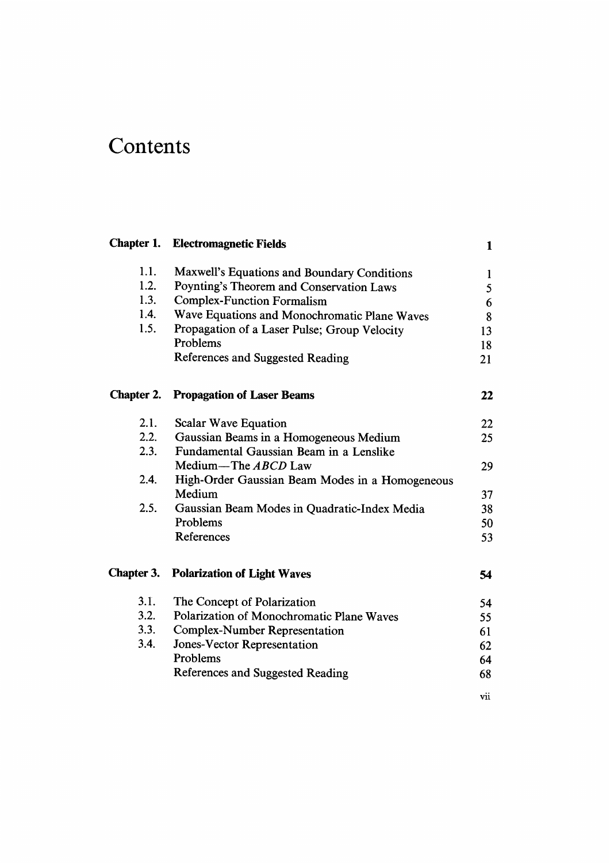# **Contents**

|                   | <b>Chapter 1. Electromagnetic Fields</b>        | 1   |
|-------------------|-------------------------------------------------|-----|
| 1.1.              | Maxwell's Equations and Boundary Conditions     | 1   |
| 1.2.              | Poynting's Theorem and Conservation Laws        | 5   |
| 1.3.              | <b>Complex-Function Formalism</b>               | 6   |
| 1.4.              | Wave Equations and Monochromatic Plane Waves    | 8   |
| 1.5.              | Propagation of a Laser Pulse; Group Velocity    | 13  |
|                   | Problems                                        | 18  |
|                   | References and Suggested Reading                | 21  |
| <b>Chapter 2.</b> | <b>Propagation of Laser Beams</b>               | 22  |
| 2.1.              | Scalar Wave Equation                            | 22  |
| 2.2.              | Gaussian Beams in a Homogeneous Medium          | 25  |
| 2.3.              | Fundamental Gaussian Beam in a Lenslike         |     |
|                   | Medium-The $ABCD$ Law                           | 29  |
| 2.4.              | High-Order Gaussian Beam Modes in a Homogeneous |     |
|                   | Medium                                          | 37  |
| 2.5.              | Gaussian Beam Modes in Quadratic-Index Media    | 38  |
|                   | Problems                                        | 50  |
|                   | References                                      | 53  |
| Chapter 3.        | <b>Polarization of Light Waves</b>              | 54  |
| 3.1.              | The Concept of Polarization                     | 54  |
| 3.2.              | Polarization of Monochromatic Plane Waves       | 55  |
| 3.3.              | <b>Complex-Number Representation</b>            | 61  |
| 3.4.              | Jones-Vector Representation                     | 62  |
|                   | Problems                                        | 64  |
|                   | References and Suggested Reading                | 68  |
|                   |                                                 | vii |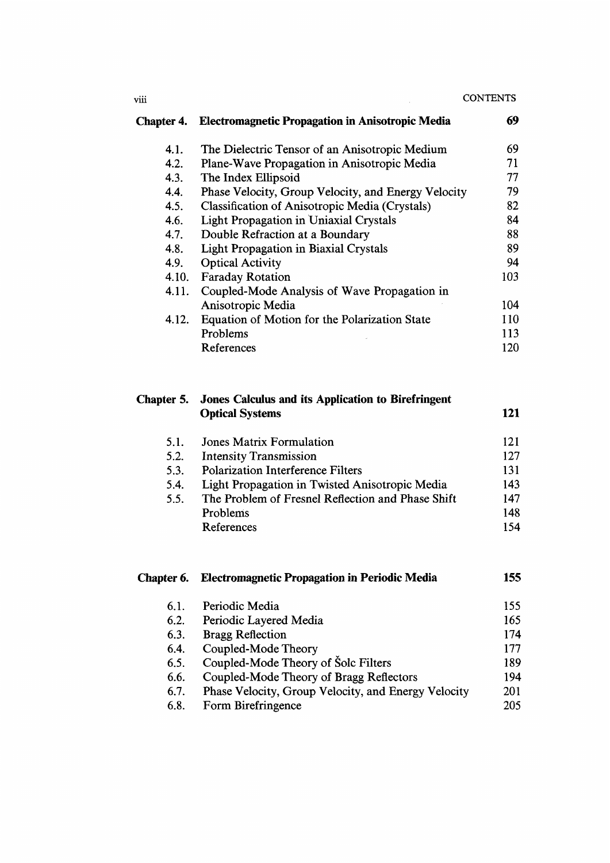#### **CONTENTS**

| Chapter 4. | <b>Electromagnetic Propagation in Anisotropic Media</b> | 69  |
|------------|---------------------------------------------------------|-----|
| 4.1.       | The Dielectric Tensor of an Anisotropic Medium          | 69  |
| 4.2.       | Plane-Wave Propagation in Anisotropic Media             | 71  |
| 4.3.       | The Index Ellipsoid                                     | 77  |
| 4.4.       | Phase Velocity, Group Velocity, and Energy Velocity     | 79  |
| 4.5.       | <b>Classification of Anisotropic Media (Crystals)</b>   | 82  |
| 4.6.       | <b>Light Propagation in Uniaxial Crystals</b>           | 84  |
| 4.7.       | Double Refraction at a Boundary                         | 88  |
| 4.8.       | <b>Light Propagation in Biaxial Crystals</b>            | 89  |
| 4.9.       | <b>Optical Activity</b>                                 | 94  |
| 4.10.      | <b>Faraday Rotation</b>                                 | 103 |
| 4.11.      | Coupled-Mode Analysis of Wave Propagation in            |     |
|            | Anisotropic Media                                       | 104 |
| 4.12.      | Equation of Motion for the Polarization State           | 110 |
|            | Problems                                                | 113 |
|            | References                                              | 120 |

|      | <b>Chapter 5.</b> Jones Calculus and its Application to Birefringent<br><b>Optical Systems</b> | 121 |
|------|------------------------------------------------------------------------------------------------|-----|
| 5.1. | Jones Matrix Formulation                                                                       | 121 |
| 5.2. | <b>Intensity Transmission</b>                                                                  | 127 |
| 5.3. | <b>Polarization Interference Filters</b>                                                       | 131 |
| 5.4. | Light Propagation in Twisted Anisotropic Media                                                 | 143 |
| 5.5. | The Problem of Fresnel Reflection and Phase Shift                                              | 147 |
|      | Problems                                                                                       | 148 |
|      | References                                                                                     | 154 |
|      |                                                                                                |     |

| Chapter 6. | <b>Electromagnetic Propagation in Periodic Media</b> | 155 |
|------------|------------------------------------------------------|-----|
| 6.1.       | Periodic Media                                       | 155 |
| 6.2.       | Periodic Layered Media                               | 165 |
| 6.3.       | <b>Bragg Reflection</b>                              | 174 |
| 6.4.       | Coupled-Mode Theory                                  | 177 |
| 6.5.       | Coupled-Mode Theory of Solc Filters                  | 189 |
| 6.6.       | Coupled-Mode Theory of Bragg Reflectors              | 194 |
| 6.7.       | Phase Velocity, Group Velocity, and Energy Velocity  | 201 |
| 6.8.       | Form Birefringence                                   | 205 |

 $_{\rm viii}$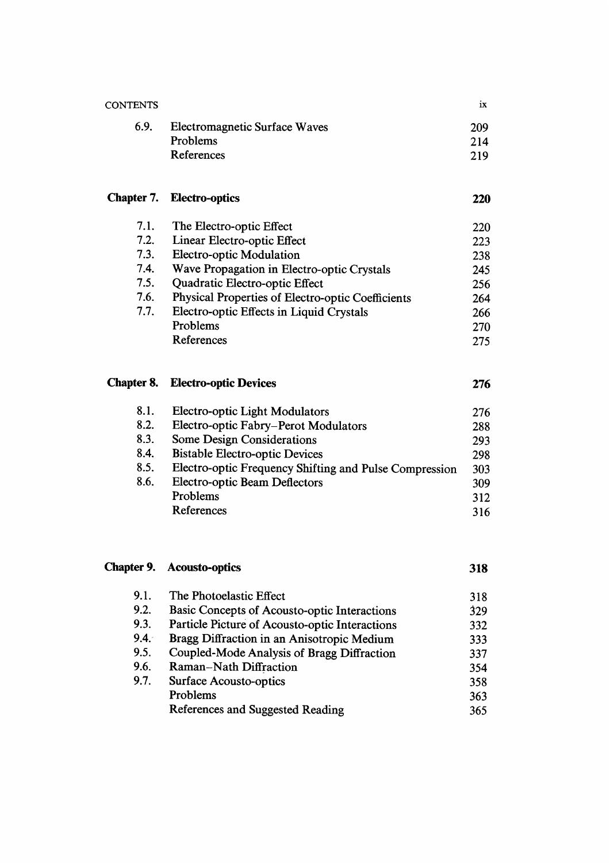| <b>CONTENTS</b>   |                                                        | ix         |
|-------------------|--------------------------------------------------------|------------|
| 6.9.              | Electromagnetic Surface Waves                          | 209        |
|                   | Problems                                               | 214        |
|                   | References                                             | 219        |
| Chapter 7.        | <b>Electro-optics</b>                                  | <b>220</b> |
| 7.1.              | The Electro-optic Effect                               | 220        |
| 7.2.              | Linear Electro-optic Effect                            | 223        |
| 7.3.              | Electro-optic Modulation                               | 238        |
| 7.4.              | Wave Propagation in Electro-optic Crystals             | 245        |
| 7.5.              | Quadratic Electro-optic Effect                         | 256        |
| 7.6.              | Physical Properties of Electro-optic Coefficients      | 264        |
| 7.7.              | Electro-optic Effects in Liquid Crystals               | 266        |
|                   | Problems                                               | 270        |
|                   | References                                             | 275        |
| <b>Chapter 8.</b> | <b>Electro-optic Devices</b>                           | 276        |
| 8.1.              | <b>Electro-optic Light Modulators</b>                  | 276        |
| 8.2.              | Electro-optic Fabry-Perot Modulators                   | 288        |
| 8.3.              | <b>Some Design Considerations</b>                      | 293        |
| 8.4.              | <b>Bistable Electro-optic Devices</b>                  | 298        |
| 8.5.              | Electro-optic Frequency Shifting and Pulse Compression | 303        |
| 8.6.              | <b>Electro-optic Beam Deflectors</b>                   | 309        |

Problems 312 Problems 312<br>References 316

|      | <b>Chapter 9. Acousto-optics</b>               | 318 |
|------|------------------------------------------------|-----|
| 9.1. | The Photoelastic Effect                        | 318 |
| 9.2. | Basic Concepts of Acousto-optic Interactions   | 329 |
| 9.3. | Particle Picture of Acousto-optic Interactions | 332 |
| 9.4. | Bragg Diffraction in an Anisotropic Medium     | 333 |
| 9.5. | Coupled-Mode Analysis of Bragg Diffraction     | 337 |
| 9.6. | Raman-Nath Diffraction                         | 354 |
| 9.7. | <b>Surface Acousto-optics</b>                  | 358 |
|      | Problems                                       | 363 |
|      | References and Suggested Reading               | 365 |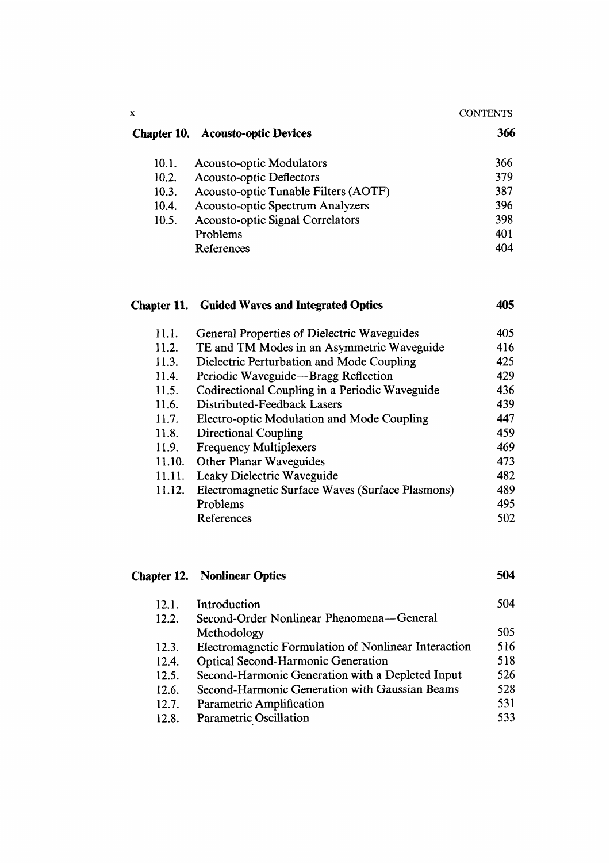| <b>CONTENTS</b> |
|-----------------|
|-----------------|

### Chapter 10. Acousto-optic Devices 366

 $\bar{\mathbf{x}}$ 

| 10.1. | <b>Acousto-optic Modulators</b>         | 366 |
|-------|-----------------------------------------|-----|
| 10.2. | Acousto-optic Deflectors                | 379 |
| 10.3. | Acousto-optic Tunable Filters (AOTF)    | 387 |
| 10.4. | <b>Acousto-optic Spectrum Analyzers</b> | 396 |
| 10.5. | <b>Acousto-optic Signal Correlators</b> | 398 |
|       | Problems                                | 401 |
|       | References                              | 404 |

| 11.1.  | <b>General Properties of Dielectric Waveguides</b> | 405 |
|--------|----------------------------------------------------|-----|
| 11.2.  | TE and TM Modes in an Asymmetric Waveguide         | 416 |
| 11.3.  | Dielectric Perturbation and Mode Coupling          | 425 |
| 11.4.  | Periodic Waveguide-Bragg Reflection                | 429 |
| 11.5.  | Codirectional Coupling in a Periodic Waveguide     | 436 |
| 11.6.  | Distributed-Feedback Lasers                        | 439 |
| 11.7.  | Electro-optic Modulation and Mode Coupling         | 447 |
| 11.8.  | Directional Coupling                               | 459 |
| 11.9.  | <b>Frequency Multiplexers</b>                      | 469 |
| 11.10. | <b>Other Planar Waveguides</b>                     | 473 |
| 11.11. | Leaky Dielectric Waveguide                         | 482 |
| 11.12. | Electromagnetic Surface Waves (Surface Plasmons)   | 489 |
|        | Problems                                           | 495 |
|        | References                                         | 502 |

Chapter 11. Guided Waves and Integrated Optics 405

## Chapter 12. Nonlinear Optics 504

| 12.1. | Introduction                                         | 504 |
|-------|------------------------------------------------------|-----|
| 12.2. | Second-Order Nonlinear Phenomena—General             |     |
|       | Methodology                                          | 505 |
| 12.3. | Electromagnetic Formulation of Nonlinear Interaction | 516 |
| 12.4. | <b>Optical Second-Harmonic Generation</b>            | 518 |
| 12.5. | Second-Harmonic Generation with a Depleted Input     | 526 |
| 12.6. | Second-Harmonic Generation with Gaussian Beams       | 528 |
| 12.7. | Parametric Amplification                             | 531 |
| 12.8. | Parametric Oscillation                               | 533 |
|       |                                                      |     |